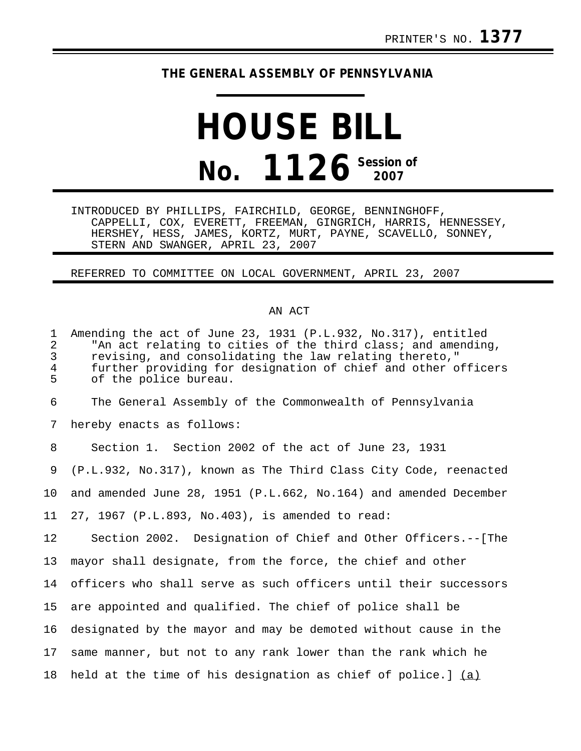## **THE GENERAL ASSEMBLY OF PENNSYLVANIA**

## **HOUSE BILL No. 1126 Session of 2007**

INTRODUCED BY PHILLIPS, FAIRCHILD, GEORGE, BENNINGHOFF, CAPPELLI, COX, EVERETT, FREEMAN, GINGRICH, HARRIS, HENNESSEY, HERSHEY, HESS, JAMES, KORTZ, MURT, PAYNE, SCAVELLO, SONNEY, STERN AND SWANGER, APRIL 23, 2007

## REFERRED TO COMMITTEE ON LOCAL GOVERNMENT, APRIL 23, 2007

## AN ACT

| $\mathbf{1}$<br>$\overline{a}$<br>3<br>$\overline{4}$<br>5 | Amending the act of June 23, 1931 (P.L.932, No.317), entitled<br>"An act relating to cities of the third class; and amending,<br>revising, and consolidating the law relating thereto,"<br>further providing for designation of chief and other officers<br>of the police bureau. |
|------------------------------------------------------------|-----------------------------------------------------------------------------------------------------------------------------------------------------------------------------------------------------------------------------------------------------------------------------------|
| 6                                                          | The General Assembly of the Commonwealth of Pennsylvania                                                                                                                                                                                                                          |
| 7                                                          | hereby enacts as follows:                                                                                                                                                                                                                                                         |
| 8                                                          | Section 1. Section 2002 of the act of June 23, 1931                                                                                                                                                                                                                               |
| 9                                                          | (P.L.932, No.317), known as The Third Class City Code, reenacted                                                                                                                                                                                                                  |
| 10                                                         | and amended June 28, 1951 (P.L.662, No.164) and amended December                                                                                                                                                                                                                  |
| 11                                                         | 27, 1967 (P.L.893, No.403), is amended to read:                                                                                                                                                                                                                                   |
| 12                                                         | Section 2002. Designation of Chief and Other Officers.--[The                                                                                                                                                                                                                      |
| 13                                                         | mayor shall designate, from the force, the chief and other                                                                                                                                                                                                                        |
| 14                                                         | officers who shall serve as such officers until their successors                                                                                                                                                                                                                  |
| 15                                                         | are appointed and qualified. The chief of police shall be                                                                                                                                                                                                                         |
| 16                                                         | designated by the mayor and may be demoted without cause in the                                                                                                                                                                                                                   |
| 17                                                         | same manner, but not to any rank lower than the rank which he                                                                                                                                                                                                                     |
| 18                                                         | held at the time of his designation as chief of police.] $(a)$                                                                                                                                                                                                                    |